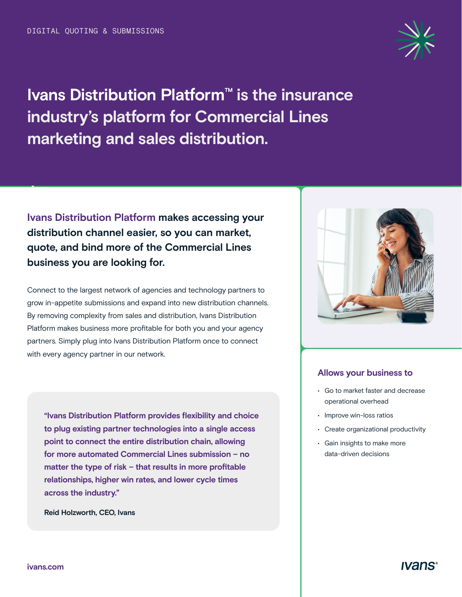

**Ivans Distribution Platform™ is the insurance industry's platform for Commercial Lines marketing and sales distribution.** 

**Ivans Distribution Platform makes accessing your distribution channel easier, so you can market, quote, and bind more of the Commercial Lines business you are looking for.** 

Connect to the largest network of agencies and technology partners to grow in-appetite submissions and expand into new distribution channels. By removing complexity from sales and distribution, Ivans Distribution Platform makes business more profitable for both you and your agency partners. Simply plug into Ivans Distribution Platform once to connect with every agency partner in our network.

**"Ivans Distribution Platform provides flexibility and choice to plug existing partner technologies into a single access point to connect the entire distribution chain, allowing for more automated Commercial Lines submission – no matter the type of risk – that results in more profitable relationships, higher win rates, and lower cycle times across the industry."**

**Reid Holzworth, CEO, Ivans**



### **Allows your business to**

- Go to market faster and decrease operational overhead
- Improve win-loss ratios
- Create organizational productivity
- Gain insights to make more data-driven decisions

 **.**